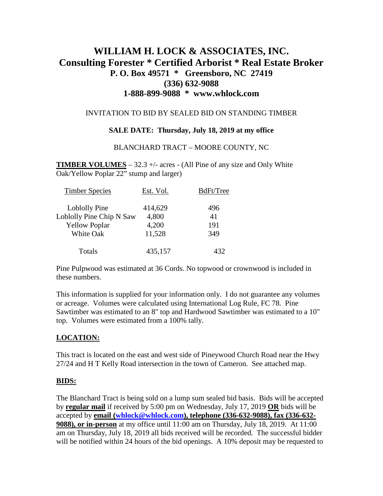# **WILLIAM H. LOCK & ASSOCIATES, INC. Consulting Forester \* Certified Arborist \* Real Estate Broker P. O. Box 49571 \* Greensboro, NC 27419 (336) 632-9088 1-888-899-9088 \* www.whlock.com**

#### INVITATION TO BID BY SEALED BID ON STANDING TIMBER

### **SALE DATE: Thursday, July 18, 2019 at my office**

#### BLANCHARD TRACT – MOORE COUNTY, NC

**TIMBER VOLUMES** – 32.3 +/- acres - (All Pine of any size and Only White Oak/Yellow Poplar 22" stump and larger)

| <b>Timber Species</b>    | Est. Vol. | BdFt/Tree |
|--------------------------|-----------|-----------|
| Loblolly Pine            | 414,629   | 496       |
| Loblolly Pine Chip N Saw | 4,800     | 41        |
| <b>Yellow Poplar</b>     | 4,200     | 191       |
| White Oak                | 11,528    | 349       |
| Totals                   | 435,157   | 432       |

Pine Pulpwood was estimated at 36 Cords. No topwood or crownwood is included in these numbers.

This information is supplied for your information only. I do not guarantee any volumes or acreage. Volumes were calculated using International Log Rule, FC 78. Pine Sawtimber was estimated to an 8" top and Hardwood Sawtimber was estimated to a 10" top. Volumes were estimated from a 100% tally.

### **LOCATION:**

This tract is located on the east and west side of Pineywood Church Road near the Hwy 27/24 and H T Kelly Road intersection in the town of Cameron. See attached map.

#### **BIDS:**

The Blanchard Tract is being sold on a lump sum sealed bid basis. Bids will be accepted by **regular mail** if received by 5:00 pm on Wednesday, July 17, 2019 **OR** bids will be accepted by **email [\(whlock@whlock.com\)](mailto:whlock@whlock.com), telephone (336-632-9088), fax (336-632- 9088), or in-person** at my office until 11:00 am on Thursday, July 18, 2019. At 11:00 am on Thursday, July 18, 2019 all bids received will be recorded. The successful bidder will be notified within 24 hours of the bid openings. A 10% deposit may be requested to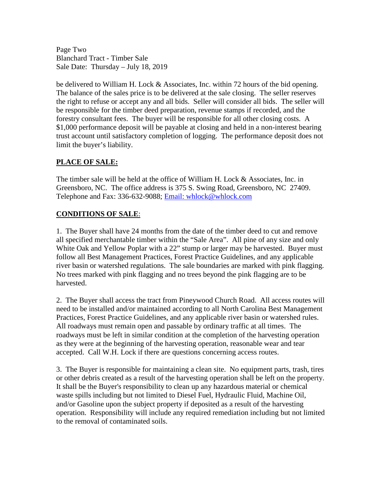Page Two Blanchard Tract - Timber Sale Sale Date: Thursday – July 18, 2019

be delivered to William H. Lock & Associates, Inc. within 72 hours of the bid opening. The balance of the sales price is to be delivered at the sale closing. The seller reserves the right to refuse or accept any and all bids. Seller will consider all bids. The seller will be responsible for the timber deed preparation, revenue stamps if recorded, and the forestry consultant fees. The buyer will be responsible for all other closing costs. A \$1,000 performance deposit will be payable at closing and held in a non-interest bearing trust account until satisfactory completion of logging. The performance deposit does not limit the buyer's liability.

# **PLACE OF SALE:**

The timber sale will be held at the office of William H. Lock & Associates, Inc. in Greensboro, NC. The office address is 375 S. Swing Road, Greensboro, NC 27409. Telephone and Fax: 336-632-9088; [Email: whlock@whlock.com](mailto:Email:%20whlock@whlock.com) 

## **CONDITIONS OF SALE**:

1. The Buyer shall have 24 months from the date of the timber deed to cut and remove all specified merchantable timber within the "Sale Area". All pine of any size and only White Oak and Yellow Poplar with a 22" stump or larger may be harvested. Buyer must follow all Best Management Practices, Forest Practice Guidelines, and any applicable river basin or watershed regulations. The sale boundaries are marked with pink flagging. No trees marked with pink flagging and no trees beyond the pink flagging are to be harvested.

2. The Buyer shall access the tract from Pineywood Church Road. All access routes will need to be installed and/or maintained according to all North Carolina Best Management Practices, Forest Practice Guidelines, and any applicable river basin or watershed rules. All roadways must remain open and passable by ordinary traffic at all times. The roadways must be left in similar condition at the completion of the harvesting operation as they were at the beginning of the harvesting operation, reasonable wear and tear accepted. Call W.H. Lock if there are questions concerning access routes.

3. The Buyer is responsible for maintaining a clean site. No equipment parts, trash, tires or other debris created as a result of the harvesting operation shall be left on the property. It shall be the Buyer's responsibility to clean up any hazardous material or chemical waste spills including but not limited to Diesel Fuel, Hydraulic Fluid, Machine Oil, and/or Gasoline upon the subject property if deposited as a result of the harvesting operation. Responsibility will include any required remediation including but not limited to the removal of contaminated soils.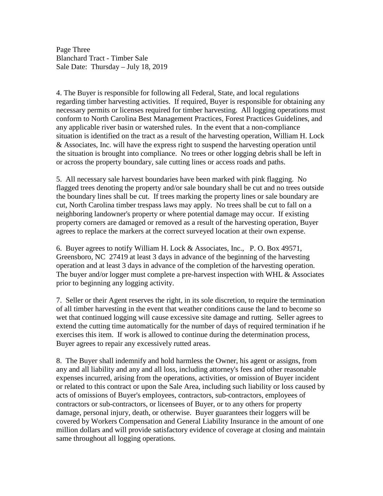Page Three Blanchard Tract - Timber Sale Sale Date: Thursday – July 18, 2019

4. The Buyer is responsible for following all Federal, State, and local regulations regarding timber harvesting activities. If required, Buyer is responsible for obtaining any necessary permits or licenses required for timber harvesting. All logging operations must conform to North Carolina Best Management Practices, Forest Practices Guidelines, and any applicable river basin or watershed rules. In the event that a non-compliance situation is identified on the tract as a result of the harvesting operation, William H. Lock & Associates, Inc. will have the express right to suspend the harvesting operation until the situation is brought into compliance. No trees or other logging debris shall be left in or across the property boundary, sale cutting lines or access roads and paths.

5. All necessary sale harvest boundaries have been marked with pink flagging. No flagged trees denoting the property and/or sale boundary shall be cut and no trees outside the boundary lines shall be cut. If trees marking the property lines or sale boundary are cut, North Carolina timber trespass laws may apply. No trees shall be cut to fall on a neighboring landowner's property or where potential damage may occur. If existing property corners are damaged or removed as a result of the harvesting operation, Buyer agrees to replace the markers at the correct surveyed location at their own expense.

6. Buyer agrees to notify William H. Lock & Associates, Inc., P. O. Box 49571, Greensboro, NC 27419 at least 3 days in advance of the beginning of the harvesting operation and at least 3 days in advance of the completion of the harvesting operation. The buyer and/or logger must complete a pre-harvest inspection with WHL & Associates prior to beginning any logging activity.

7. Seller or their Agent reserves the right, in its sole discretion, to require the termination of all timber harvesting in the event that weather conditions cause the land to become so wet that continued logging will cause excessive site damage and rutting. Seller agrees to extend the cutting time automatically for the number of days of required termination if he exercises this item. If work is allowed to continue during the determination process, Buyer agrees to repair any excessively rutted areas.

8. The Buyer shall indemnify and hold harmless the Owner, his agent or assigns, from any and all liability and any and all loss, including attorney's fees and other reasonable expenses incurred, arising from the operations, activities, or omission of Buyer incident or related to this contract or upon the Sale Area, including such liability or loss caused by acts of omissions of Buyer's employees, contractors, sub-contractors, employees of contractors or sub-contractors, or licensees of Buyer, or to any others for property damage, personal injury, death, or otherwise. Buyer guarantees their loggers will be covered by Workers Compensation and General Liability Insurance in the amount of one million dollars and will provide satisfactory evidence of coverage at closing and maintain same throughout all logging operations.